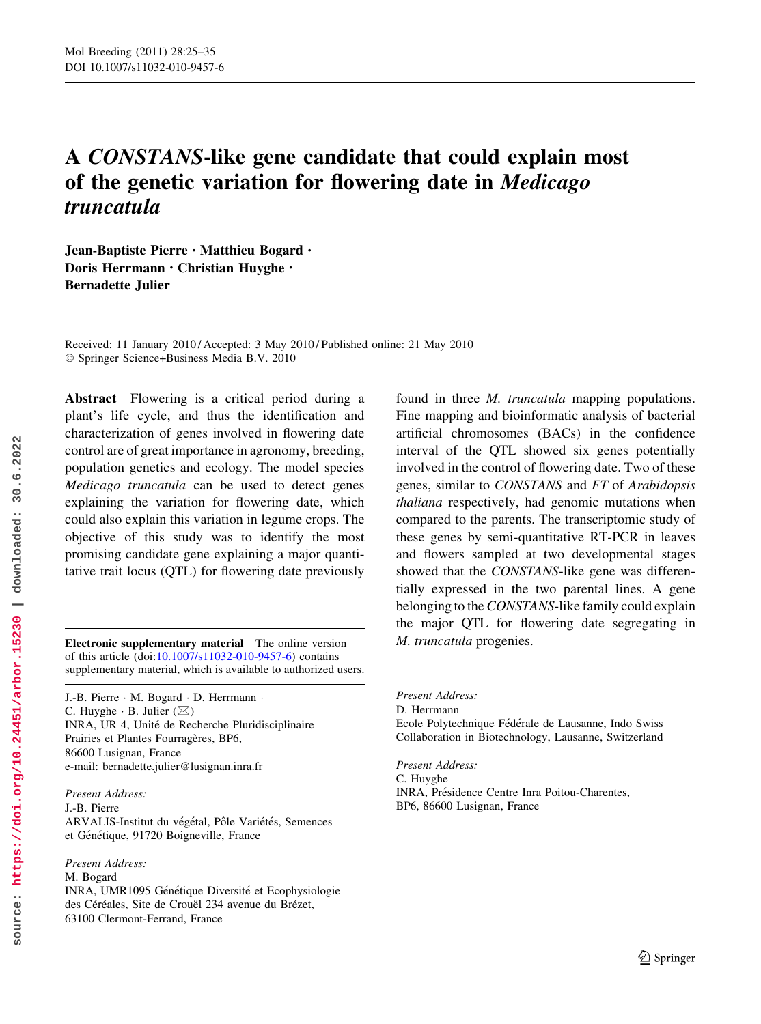# A CONSTANS-like gene candidate that could explain most of the genetic variation for flowering date in Medicago truncatula

Jean-Baptiste Pierre • Matthieu Bogard • Doris Herrmann • Christian Huyghe • Bernadette Julier

Received: 11 January 2010 / Accepted: 3 May 2010 / Published online: 21 May 2010 © Springer Science+Business Media B.V. 2010

Abstract Flowering is a critical period during a plant's life cycle, and thus the identification and characterization of genes involved in flowering date control are of great importance in agronomy, breeding, population genetics and ecology. The model species Medicago truncatula can be used to detect genes explaining the variation for flowering date, which could also explain this variation in legume crops. The objective of this study was to identify the most promising candidate gene explaining a major quantitative trait locus (QTL) for flowering date previously

Electronic supplementary material The online version M. truncatula progenies. of this article (doi[:10.1007/s11032-010-9457-6\)](http://dx.doi.org/10.1007/s11032-010-9457-6) contains supplementary material, which is available to authorized users.

J.-B. Pierre - M. Bogard - D. Herrmann - C. Huyghe  $\cdot$  B. Julier ( $\boxtimes$ ) INRA, UR 4, Unité de Recherche Pluridisciplinaire Prairies et Plantes Fourragères, BP6, 86600 Lusignan, France e-mail: bernadette.julier@lusignan.inra.fr

Present Address: J.-B. Pierre ARVALIS-Institut du végétal, Pôle Variétés, Semences et Génétique, 91720 Boigneville, France

Present Address: M. Bogard INRA, UMR1095 Génétique Diversité et Ecophysiologie des Céréales, Site de Crouël 234 avenue du Brézet, 63100 Clermont-Ferrand, France

found in three M. truncatula mapping populations. Fine mapping and bioinformatic analysis of bacterial artificial chromosomes (BACs) in the confidence interval of the QTL showed six genes potentially involved in the control of flowering date. Two of these genes, similar to CONSTANS and FT of Arabidopsis thaliana respectively, had genomic mutations when compared to the parents. The transcriptomic study of these genes by semi-quantitative RT-PCR in leaves and flowers sampled at two developmental stages showed that the CONSTANS-like gene was differentially expressed in the two parental lines. A gene belonging to the CONSTANS-like family could explain the major QTL for flowering date segregating in

Present Address: D. Herrmann Ecole Polytechnique Fédérale de Lausanne, Indo Swiss Collaboration in Biotechnology, Lausanne, Switzerland

Present Address: C. Huyghe INRA, Présidence Centre Inra Poitou-Charentes, BP6, 86600 Lusignan, France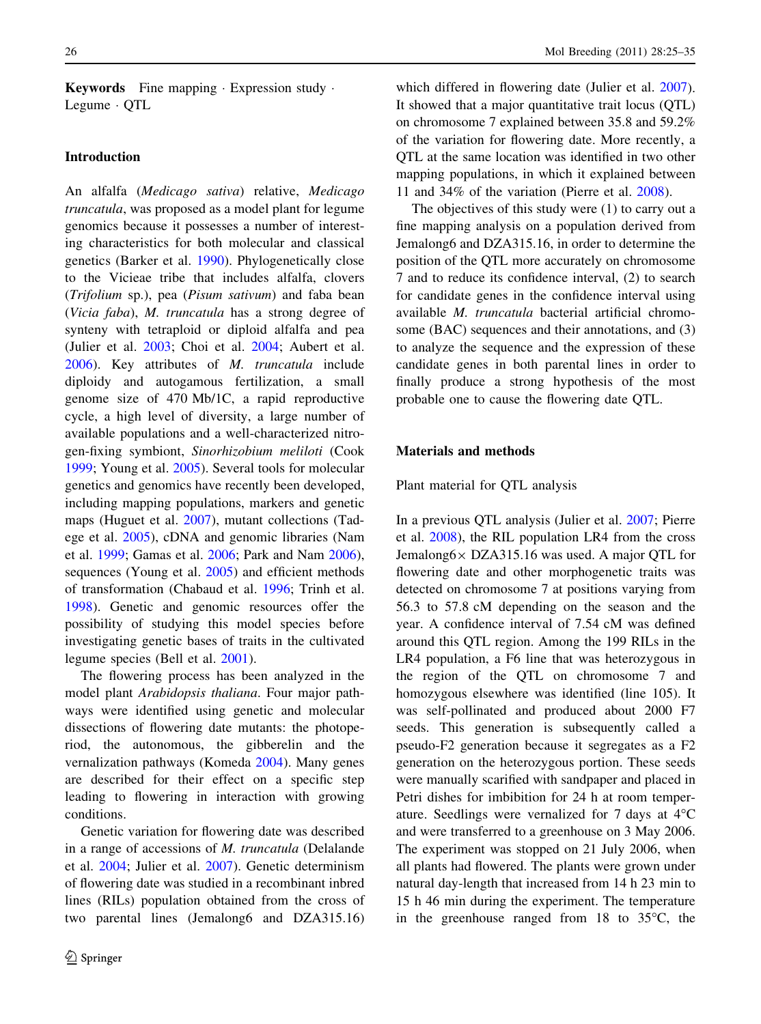**Keywords** Fine mapping  $\cdot$  Expression study  $\cdot$ Legume - QTL

## Introduction

An alfalfa (Medicago sativa) relative, Medicago truncatula, was proposed as a model plant for legume genomics because it possesses a number of interesting characteristics for both molecular and classical genetics (Barker et al. 1990). Phylogenetically close to the Vicieae tribe that includes alfalfa, clovers (Trifolium sp.), pea (Pisum sativum) and faba bean (Vicia faba), M. truncatula has a strong degree of synteny with tetraploid or diploid alfalfa and pea (Julier et al. 2003; Choi et al. 2004; Aubert et al. 2006). Key attributes of M. truncatula include diploidy and autogamous fertilization, a small genome size of 470 Mb/1C, a rapid reproductive cycle, a high level of diversity, a large number of available populations and a well-characterized nitrogen-fixing symbiont, Sinorhizobium meliloti (Cook 1999; Young et al. 2005). Several tools for molecular genetics and genomics have recently been developed, including mapping populations, markers and genetic maps (Huguet et al. 2007), mutant collections (Tadege et al. 2005), cDNA and genomic libraries (Nam et al. 1999; Gamas et al. 2006; Park and Nam 2006), sequences (Young et al. 2005) and efficient methods of transformation (Chabaud et al. 1996; Trinh et al. 1998). Genetic and genomic resources offer the possibility of studying this model species before investigating genetic bases of traits in the cultivated legume species (Bell et al. 2001).

The flowering process has been analyzed in the model plant Arabidopsis thaliana. Four major pathways were identified using genetic and molecular dissections of flowering date mutants: the photoperiod, the autonomous, the gibberelin and the vernalization pathways (Komeda 2004). Many genes are described for their effect on a specific step leading to flowering in interaction with growing conditions.

Genetic variation for flowering date was described in a range of accessions of M. truncatula (Delalande et al. 2004; Julier et al. 2007). Genetic determinism of flowering date was studied in a recombinant inbred lines (RILs) population obtained from the cross of two parental lines (Jemalong6 and DZA315.16)

which differed in flowering date (Julier et al. 2007). It showed that a major quantitative trait locus (QTL) on chromosome 7 explained between 35.8 and 59.2% of the variation for flowering date. More recently, a QTL at the same location was identified in two other mapping populations, in which it explained between 11 and 34% of the variation (Pierre et al. 2008).

The objectives of this study were (1) to carry out a fine mapping analysis on a population derived from Jemalong6 and DZA315.16, in order to determine the position of the QTL more accurately on chromosome 7 and to reduce its confidence interval, (2) to search for candidate genes in the confidence interval using available M. truncatula bacterial artificial chromosome (BAC) sequences and their annotations, and (3) to analyze the sequence and the expression of these candidate genes in both parental lines in order to finally produce a strong hypothesis of the most probable one to cause the flowering date QTL.

## Materials and methods

Plant material for QTL analysis

In a previous QTL analysis (Julier et al. 2007; Pierre et al. 2008), the RIL population LR4 from the cross Jemalong $6 \times$  DZA315.16 was used. A major QTL for flowering date and other morphogenetic traits was detected on chromosome 7 at positions varying from 56.3 to 57.8 cM depending on the season and the year. A confidence interval of 7.54 cM was defined around this QTL region. Among the 199 RILs in the LR4 population, a F6 line that was heterozygous in the region of the QTL on chromosome 7 and homozygous elsewhere was identified (line 105). It was self-pollinated and produced about 2000 F7 seeds. This generation is subsequently called a pseudo-F2 generation because it segregates as a F2 generation on the heterozygous portion. These seeds were manually scarified with sandpaper and placed in Petri dishes for imbibition for 24 h at room temperature. Seedlings were vernalized for 7 days at  $4^{\circ}$ C and were transferred to a greenhouse on 3 May 2006. The experiment was stopped on 21 July 2006, when all plants had flowered. The plants were grown under natural day-length that increased from 14 h 23 min to 15 h 46 min during the experiment. The temperature in the greenhouse ranged from 18 to  $35^{\circ}$ C, the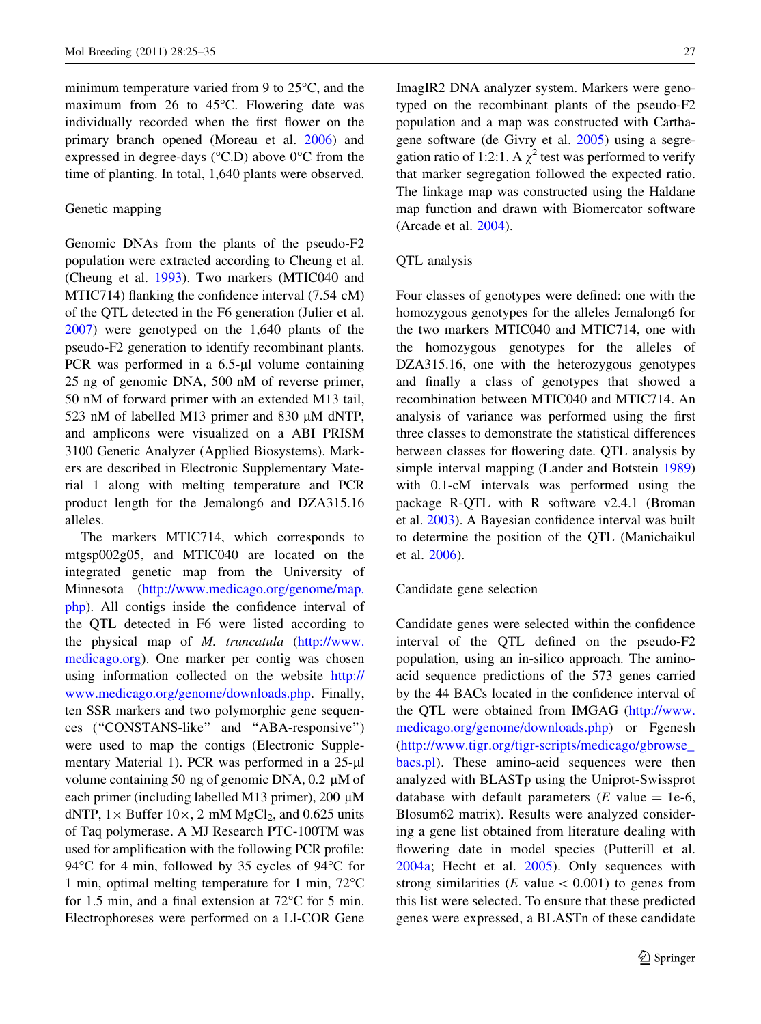minimum temperature varied from 9 to  $25^{\circ}$ C, and the maximum from 26 to 45 $\degree$ C. Flowering date was individually recorded when the first flower on the primary branch opened (Moreau et al. 2006) and expressed in degree-days ( $\degree$ C.D) above  $0\degree$ C from the time of planting. In total, 1,640 plants were observed.

#### Genetic mapping

Genomic DNAs from the plants of the pseudo-F2 population were extracted according to Cheung et al. (Cheung et al. 1993). Two markers (MTIC040 and MTIC714) flanking the confidence interval (7.54 cM) of the QTL detected in the F6 generation (Julier et al. 2007) were genotyped on the 1,640 plants of the pseudo-F2 generation to identify recombinant plants. PCR was performed in a  $6.5$ - $\mu$ l volume containing 25 ng of genomic DNA, 500 nM of reverse primer, 50 nM of forward primer with an extended M13 tail, 523 nM of labelled M13 primer and 830  $\mu$ M dNTP, and amplicons were visualized on a ABI PRISM 3100 Genetic Analyzer (Applied Biosystems). Markers are described in Electronic Supplementary Material 1 along with melting temperature and PCR product length for the Jemalong6 and DZA315.16 alleles.

The markers MTIC714, which corresponds to mtgsp002g05, and MTIC040 are located on the integrated genetic map from the University of Minnesota [\(http://www.medicago.org/genome/map.](http://www.medicago.org/genome/map.php) [php\)](http://www.medicago.org/genome/map.php). All contigs inside the confidence interval of the QTL detected in F6 were listed according to the physical map of M. truncatula [\(http://www.](http://www.medicago.org) [medicago.org\)](http://www.medicago.org). One marker per contig was chosen using information collected on the website [http://](http://www.medicago.org/genome/downloads.php) [www.medicago.org/genome/downloads.php.](http://www.medicago.org/genome/downloads.php) Finally, ten SSR markers and two polymorphic gene sequences (''CONSTANS-like'' and ''ABA-responsive'') were used to map the contigs (Electronic Supplementary Material 1). PCR was performed in a 25-µl volume containing 50 ng of genomic DNA,  $0.2 \mu M$  of each primer (including labelled M13 primer), 200  $\mu$ M dNTP,  $1 \times$  Buffer  $10 \times$ , 2 mM MgCl<sub>2</sub>, and 0.625 units of Taq polymerase. A MJ Research PTC-100TM was used for amplification with the following PCR profile: 94 $\degree$ C for 4 min, followed by 35 cycles of 94 $\degree$ C for 1 min, optimal melting temperature for 1 min,  $72^{\circ}$ C for 1.5 min, and a final extension at  $72^{\circ}$ C for 5 min. Electrophoreses were performed on a LI-COR Gene

ImagIR2 DNA analyzer system. Markers were genotyped on the recombinant plants of the pseudo-F2 population and a map was constructed with Carthagene software (de Givry et al. 2005) using a segregation ratio of 1:2:1. A  $\chi^2$  test was performed to verify that marker segregation followed the expected ratio. The linkage map was constructed using the Haldane map function and drawn with Biomercator software (Arcade et al. 2004).

#### QTL analysis

Four classes of genotypes were defined: one with the homozygous genotypes for the alleles Jemalong6 for the two markers MTIC040 and MTIC714, one with the homozygous genotypes for the alleles of DZA315.16, one with the heterozygous genotypes and finally a class of genotypes that showed a recombination between MTIC040 and MTIC714. An analysis of variance was performed using the first three classes to demonstrate the statistical differences between classes for flowering date. QTL analysis by simple interval mapping (Lander and Botstein 1989) with 0.1-cM intervals was performed using the package R-QTL with R software v2.4.1 (Broman et al. 2003). A Bayesian confidence interval was built to determine the position of the QTL (Manichaikul et al. 2006).

#### Candidate gene selection

Candidate genes were selected within the confidence interval of the QTL defined on the pseudo-F2 population, using an in-silico approach. The aminoacid sequence predictions of the 573 genes carried by the 44 BACs located in the confidence interval of the QTL were obtained from IMGAG [\(http://www.](http://www.medicago.org/genome/downloads.php) [medicago.org/genome/downloads.php\)](http://www.medicago.org/genome/downloads.php) or Fgenesh [\(http://www.tigr.org/tigr-scripts/medicago/gbrowse\\_](http://www.tigr.org/tigr-scripts/medicago/gbrowse_bacs.pl) [bacs.pl\)](http://www.tigr.org/tigr-scripts/medicago/gbrowse_bacs.pl). These amino-acid sequences were then analyzed with BLASTp using the Uniprot-Swissprot database with default parameters  $(E \text{ value} = 1e-6,$ Blosum62 matrix). Results were analyzed considering a gene list obtained from literature dealing with flowering date in model species (Putterill et al. 2004a; Hecht et al. 2005). Only sequences with strong similarities ( $E$  value  $\lt$  0.001) to genes from this list were selected. To ensure that these predicted genes were expressed, a BLASTn of these candidate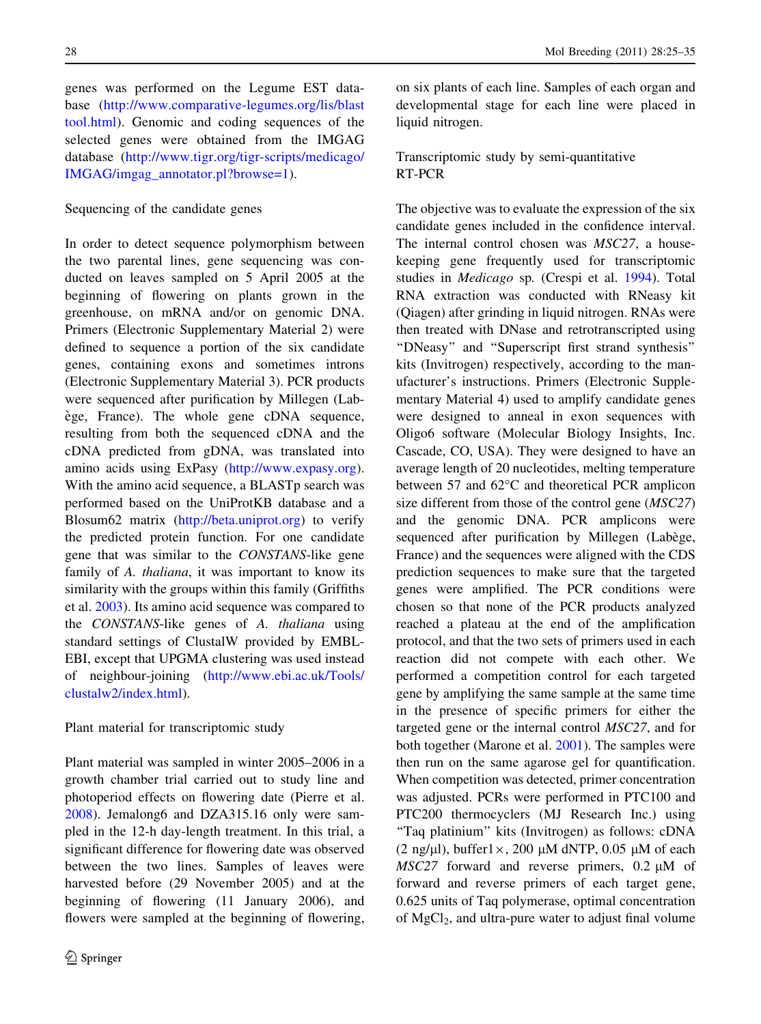genes was performed on the Legume EST database ([http://www.comparative-legumes.org/lis/blast](http://www.comparative-legumes.org/lis/blasttool.html) [tool.html\)](http://www.comparative-legumes.org/lis/blasttool.html). Genomic and coding sequences of the selected genes were obtained from the IMGAG database [\(http://www.tigr.org/tigr-scripts/medicago/](http://www.tigr.org/tigr-scripts/medicago/IMGAG/imgag_annotator.pl?browse=1) [IMGAG/imgag\\_annotator.pl?browse=1\)](http://www.tigr.org/tigr-scripts/medicago/IMGAG/imgag_annotator.pl?browse=1).

# Sequencing of the candidate genes

In order to detect sequence polymorphism between the two parental lines, gene sequencing was conducted on leaves sampled on 5 April 2005 at the beginning of flowering on plants grown in the greenhouse, on mRNA and/or on genomic DNA. Primers (Electronic Supplementary Material 2) were defined to sequence a portion of the six candidate genes, containing exons and sometimes introns (Electronic Supplementary Material 3). PCR products were sequenced after purification by Millegen (Labège, France). The whole gene cDNA sequence, resulting from both the sequenced cDNA and the cDNA predicted from gDNA, was translated into amino acids using ExPasy (<http://www.expasy.org>). With the amino acid sequence, a BLASTp search was performed based on the UniProtKB database and a Blosum62 matrix [\(http://beta.uniprot.org](http://beta.uniprot.org)) to verify the predicted protein function. For one candidate gene that was similar to the CONSTANS-like gene family of A. thaliana, it was important to know its similarity with the groups within this family (Griffiths et al. 2003). Its amino acid sequence was compared to the CONSTANS-like genes of A. thaliana using standard settings of ClustalW provided by EMBL-EBI, except that UPGMA clustering was used instead of neighbour-joining ([http://www.ebi.ac.uk/Tools/](http://www.ebi.ac.uk/Tools/clustalw2/index.html) [clustalw2/index.html](http://www.ebi.ac.uk/Tools/clustalw2/index.html)).

#### Plant material for transcriptomic study

Plant material was sampled in winter 2005–2006 in a growth chamber trial carried out to study line and photoperiod effects on flowering date (Pierre et al. 2008). Jemalong6 and DZA315.16 only were sampled in the 12-h day-length treatment. In this trial, a significant difference for flowering date was observed between the two lines. Samples of leaves were harvested before (29 November 2005) and at the beginning of flowering (11 January 2006), and flowers were sampled at the beginning of flowering,

on six plants of each line. Samples of each organ and developmental stage for each line were placed in liquid nitrogen.

Transcriptomic study by semi-quantitative RT-PCR

The objective was to evaluate the expression of the six candidate genes included in the confidence interval. The internal control chosen was MSC27, a housekeeping gene frequently used for transcriptomic studies in Medicago sp. (Crespi et al. 1994). Total RNA extraction was conducted with RNeasy kit (Qiagen) after grinding in liquid nitrogen. RNAs were then treated with DNase and retrotranscripted using ''DNeasy'' and ''Superscript first strand synthesis'' kits (Invitrogen) respectively, according to the manufacturer's instructions. Primers (Electronic Supplementary Material 4) used to amplify candidate genes were designed to anneal in exon sequences with Oligo6 software (Molecular Biology Insights, Inc. Cascade, CO, USA). They were designed to have an average length of 20 nucleotides, melting temperature between 57 and  $62^{\circ}$ C and theoretical PCR amplicon size different from those of the control gene (MSC27) and the genomic DNA. PCR amplicons were sequenced after purification by Millegen (Labège, France) and the sequences were aligned with the CDS prediction sequences to make sure that the targeted genes were amplified. The PCR conditions were chosen so that none of the PCR products analyzed reached a plateau at the end of the amplification protocol, and that the two sets of primers used in each reaction did not compete with each other. We performed a competition control for each targeted gene by amplifying the same sample at the same time in the presence of specific primers for either the targeted gene or the internal control MSC27, and for both together (Marone et al. 2001). The samples were then run on the same agarose gel for quantification. When competition was detected, primer concentration was adjusted. PCRs were performed in PTC100 and PTC200 thermocyclers (MJ Research Inc.) using ''Taq platinium'' kits (Invitrogen) as follows: cDNA (2 ng/ $\mu$ l), buffer1 $\times$ , 200  $\mu$ M dNTP, 0.05  $\mu$ M of each  $MSC27$  forward and reverse primers, 0.2  $\mu$ M of forward and reverse primers of each target gene, 0.625 units of Taq polymerase, optimal concentration of  $MgCl<sub>2</sub>$ , and ultra-pure water to adjust final volume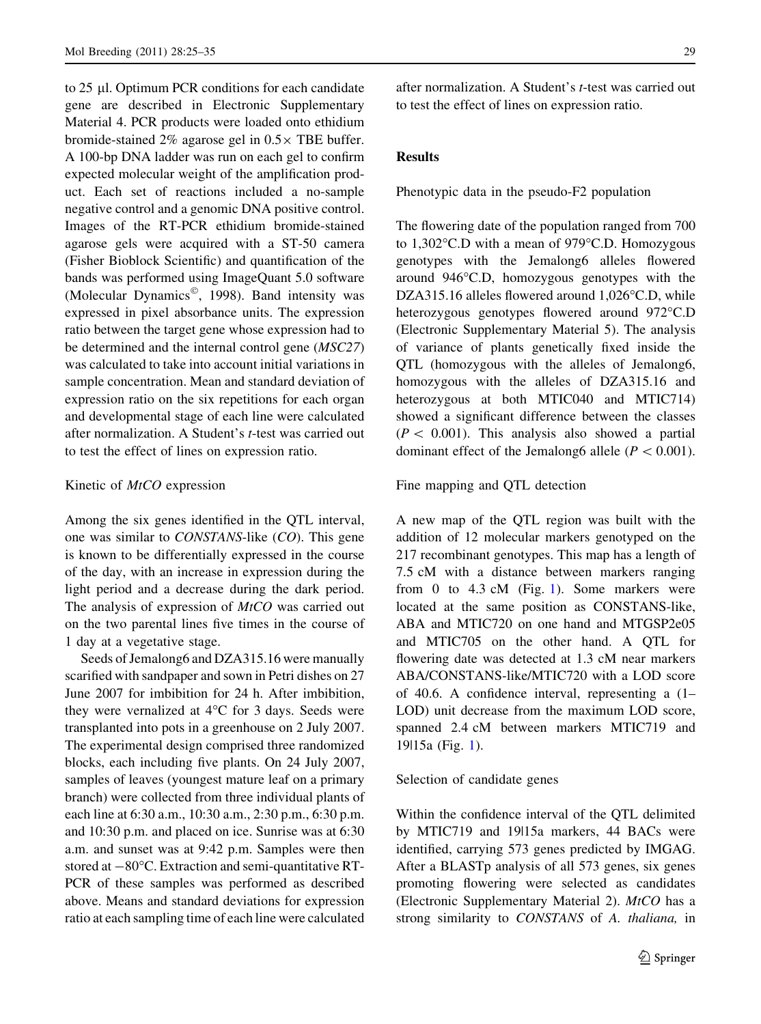to 25 µl. Optimum PCR conditions for each candidate gene are described in Electronic Supplementary Material 4. PCR products were loaded onto ethidium bromide-stained 2% agarose gel in  $0.5 \times$  TBE buffer. A 100-bp DNA ladder was run on each gel to confirm expected molecular weight of the amplification product. Each set of reactions included a no-sample negative control and a genomic DNA positive control. Images of the RT-PCR ethidium bromide-stained agarose gels were acquired with a ST-50 camera (Fisher Bioblock Scientific) and quantification of the bands was performed using ImageQuant 5.0 software (Molecular Dynamics<sup>©</sup>, 1998). Band intensity was expressed in pixel absorbance units. The expression ratio between the target gene whose expression had to be determined and the internal control gene (MSC27) was calculated to take into account initial variations in sample concentration. Mean and standard deviation of expression ratio on the six repetitions for each organ and developmental stage of each line were calculated after normalization. A Student's t-test was carried out to test the effect of lines on expression ratio.

#### Kinetic of *MtCO* expression

Among the six genes identified in the QTL interval, one was similar to CONSTANS-like (CO). This gene is known to be differentially expressed in the course of the day, with an increase in expression during the light period and a decrease during the dark period. The analysis of expression of  $MtCO$  was carried out on the two parental lines five times in the course of 1 day at a vegetative stage.

Seeds of Jemalong6 and DZA315.16 were manually scarified with sandpaper and sown in Petri dishes on 27 June 2007 for imbibition for 24 h. After imbibition, they were vernalized at  $4^{\circ}$ C for 3 days. Seeds were transplanted into pots in a greenhouse on 2 July 2007. The experimental design comprised three randomized blocks, each including five plants. On 24 July 2007, samples of leaves (youngest mature leaf on a primary branch) were collected from three individual plants of each line at 6:30 a.m., 10:30 a.m., 2:30 p.m., 6:30 p.m. and 10:30 p.m. and placed on ice. Sunrise was at 6:30 a.m. and sunset was at 9:42 p.m. Samples were then stored at  $-80^{\circ}$ C. Extraction and semi-quantitative RT-PCR of these samples was performed as described above. Means and standard deviations for expression ratio at each sampling time of each line were calculated

after normalization. A Student's t-test was carried out to test the effect of lines on expression ratio.

## Results

Phenotypic data in the pseudo-F2 population

The flowering date of the population ranged from 700 to  $1,302^{\circ}$ C.D with a mean of 979 $^{\circ}$ C.D. Homozygous genotypes with the Jemalong6 alleles flowered around  $946^{\circ}$ C.D, homozygous genotypes with the DZA315.16 alleles flowered around  $1,026^{\circ}$ C.D, while heterozygous genotypes flowered around 972 °C.D (Electronic Supplementary Material 5). The analysis of variance of plants genetically fixed inside the QTL (homozygous with the alleles of Jemalong6, homozygous with the alleles of DZA315.16 and heterozygous at both MTIC040 and MTIC714) showed a significant difference between the classes  $(P < 0.001)$ . This analysis also showed a partial dominant effect of the Jemalong6 allele ( $P < 0.001$ ).

Fine mapping and QTL detection

A new map of the QTL region was built with the addition of 12 molecular markers genotyped on the 217 recombinant genotypes. This map has a length of 7.5 cM with a distance between markers ranging from 0 to 4.3 cM (Fig. 1). Some markers were located at the same position as CONSTANS-like, ABA and MTIC720 on one hand and MTGSP2e05 and MTIC705 on the other hand. A QTL for flowering date was detected at 1.3 cM near markers ABA/CONSTANS-like/MTIC720 with a LOD score of 40.6. A confidence interval, representing a (1– LOD) unit decrease from the maximum LOD score, spanned 2.4 cM between markers MTIC719 and 19|15a (Fig. 1).

#### Selection of candidate genes

Within the confidence interval of the QTL delimited by MTIC719 and 19|15a markers, 44 BACs were identified, carrying 573 genes predicted by IMGAG. After a BLASTp analysis of all 573 genes, six genes promoting flowering were selected as candidates (Electronic Supplementary Material 2).  $MtCO$  has a strong similarity to CONSTANS of A. thaliana, in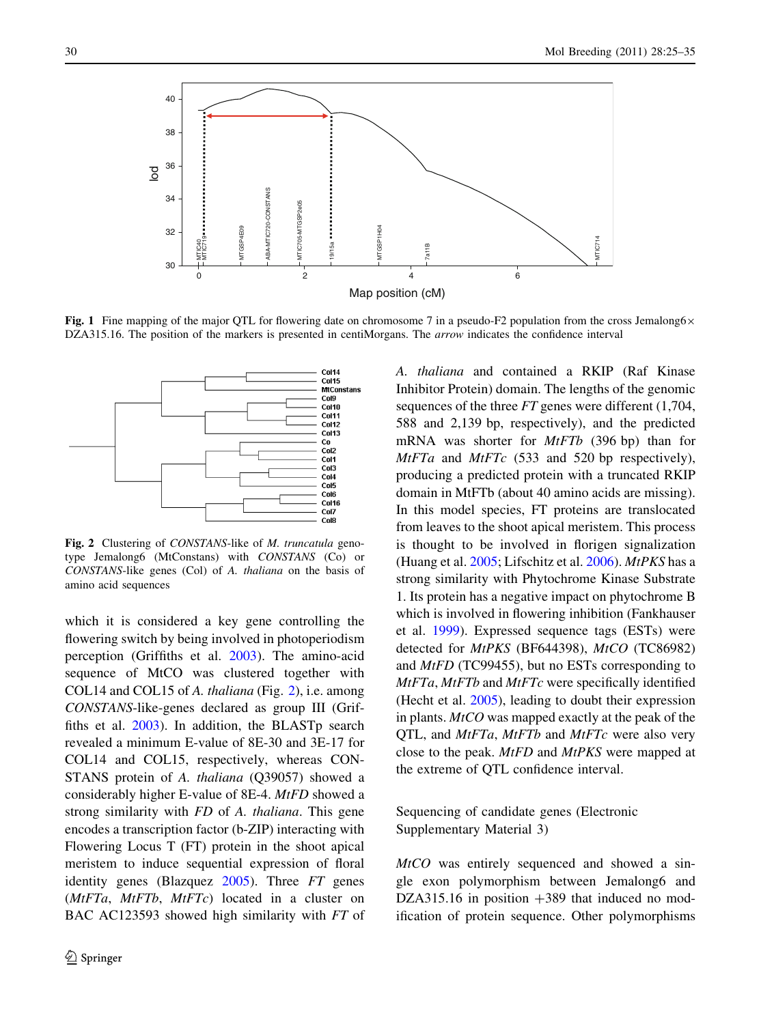

Fig. 1 Fine mapping of the major QTL for flowering date on chromosome 7 in a pseudo-F2 population from the cross Jemalong6 $\times$ DZA315.16. The position of the markers is presented in centiMorgans. The *arrow* indicates the confidence interval



Fig. 2 Clustering of CONSTANS-like of M. truncatula genotype Jemalong6 (MtConstans) with CONSTANS (Co) or CONSTANS-like genes (Col) of A. thaliana on the basis of amino acid sequences

which it is considered a key gene controlling the flowering switch by being involved in photoperiodism perception (Griffiths et al. 2003). The amino-acid sequence of MtCO was clustered together with COL14 and COL15 of A. thaliana (Fig. 2), i.e. among CONSTANS-like-genes declared as group III (Griffiths et al. 2003). In addition, the BLASTp search revealed a minimum E-value of 8E-30 and 3E-17 for COL14 and COL15, respectively, whereas CON-STANS protein of A. thaliana (Q39057) showed a considerably higher E-value of 8E-4. MtFD showed a strong similarity with FD of A. thaliana. This gene encodes a transcription factor (b-ZIP) interacting with Flowering Locus T (FT) protein in the shoot apical meristem to induce sequential expression of floral identity genes (Blazquez 2005). Three FT genes  $(MtFTa, MtFTb, MtFTc)$  located in a cluster on BAC AC123593 showed high similarity with FT of A. thaliana and contained a RKIP (Raf Kinase Inhibitor Protein) domain. The lengths of the genomic sequences of the three FT genes were different (1,704, 588 and 2,139 bp, respectively), and the predicted mRNA was shorter for MtFTb (396 bp) than for  $MtFTa$  and  $MtFTc$  (533 and 520 bp respectively), producing a predicted protein with a truncated RKIP domain in MtFTb (about 40 amino acids are missing). In this model species, FT proteins are translocated from leaves to the shoot apical meristem. This process is thought to be involved in florigen signalization (Huang et al.  $2005$ ; Lifschitz et al.  $2006$ ). *MtPKS* has a strong similarity with Phytochrome Kinase Substrate 1. Its protein has a negative impact on phytochrome B which is involved in flowering inhibition (Fankhauser et al. 1999). Expressed sequence tags (ESTs) were detected for MtPKS (BF644398), MtCO (TC86982) and MtFD (TC99455), but no ESTs corresponding to MtFTa, MtFTb and MtFTc were specifically identified (Hecht et al. 2005), leading to doubt their expression in plants.  $MtCO$  was mapped exactly at the peak of the QTL, and *MtFTa*, *MtFTb* and *MtFTc* were also very close to the peak. MtFD and MtPKS were mapped at the extreme of QTL confidence interval.

Sequencing of candidate genes (Electronic Supplementary Material 3)

MtCO was entirely sequenced and showed a single exon polymorphism between Jemalong6 and DZA315.16 in position  $+389$  that induced no modification of protein sequence. Other polymorphisms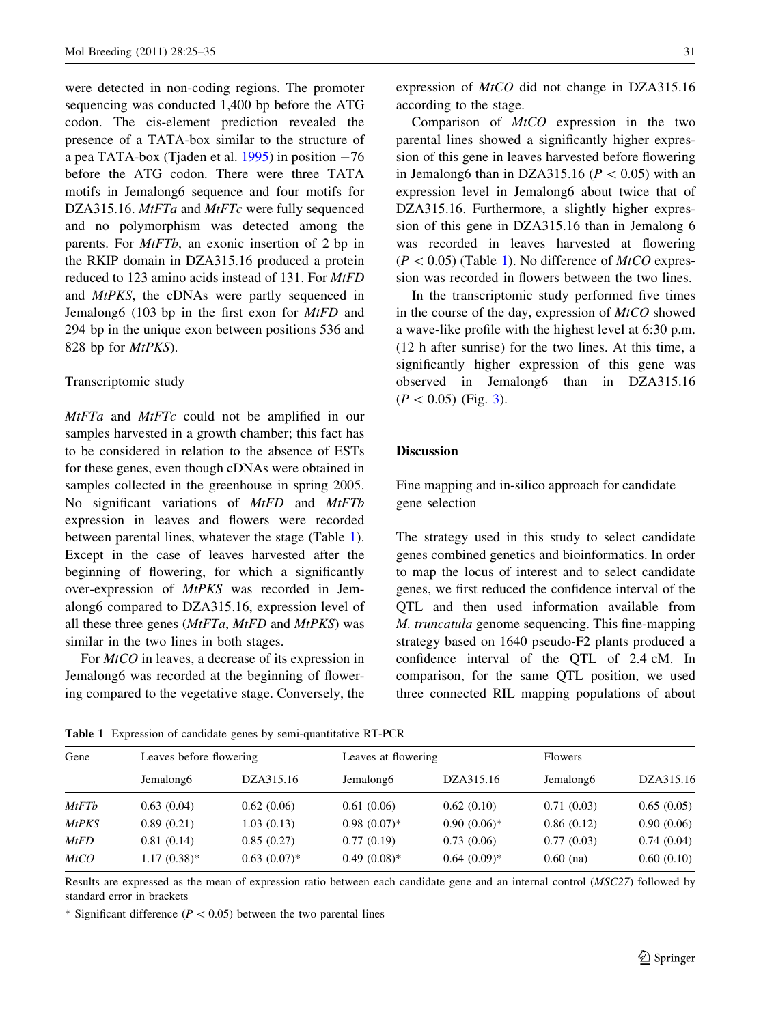were detected in non-coding regions. The promoter sequencing was conducted 1,400 bp before the ATG codon. The cis-element prediction revealed the presence of a TATA-box similar to the structure of a pea TATA-box (Tjaden et al.  $1995$ ) in position  $-76$ before the ATG codon. There were three TATA motifs in Jemalong6 sequence and four motifs for DZA315.16. MtFTa and MtFTc were fully sequenced and no polymorphism was detected among the parents. For *MtFTb*, an exonic insertion of 2 bp in the RKIP domain in DZA315.16 produced a protein reduced to 123 amino acids instead of 131. For MtFD and MtPKS, the cDNAs were partly sequenced in Jemalong6 (103 bp in the first exon for  $MtFD$  and 294 bp in the unique exon between positions 536 and 828 bp for *MtPKS*).

#### Transcriptomic study

MtFTa and MtFTc could not be amplified in our samples harvested in a growth chamber; this fact has to be considered in relation to the absence of ESTs for these genes, even though cDNAs were obtained in samples collected in the greenhouse in spring 2005. No significant variations of MtFD and MtFTb expression in leaves and flowers were recorded between parental lines, whatever the stage (Table 1). Except in the case of leaves harvested after the beginning of flowering, for which a significantly over-expression of MtPKS was recorded in Jemalong6 compared to DZA315.16, expression level of all these three genes  $(MtFTa, MtFD)$  and  $MtPKS$ ) was similar in the two lines in both stages.

For *MtCO* in leaves, a decrease of its expression in Jemalong6 was recorded at the beginning of flowering compared to the vegetative stage. Conversely, the expression of MtCO did not change in DZA315.16 according to the stage.

Comparison of MtCO expression in the two parental lines showed a significantly higher expression of this gene in leaves harvested before flowering in Jemalong6 than in DZA315.16 ( $P < 0.05$ ) with an expression level in Jemalong6 about twice that of DZA315.16. Furthermore, a slightly higher expression of this gene in DZA315.16 than in Jemalong 6 was recorded in leaves harvested at flowering  $(P<0.05)$  (Table 1). No difference of *MtCO* expression was recorded in flowers between the two lines.

In the transcriptomic study performed five times in the course of the day, expression of  $MtCO$  showed a wave-like profile with the highest level at 6:30 p.m. (12 h after sunrise) for the two lines. At this time, a significantly higher expression of this gene was observed in Jemalong6 than in DZA315.16  $(P < 0.05)$  (Fig. 3).

## **Discussion**

Fine mapping and in-silico approach for candidate gene selection

The strategy used in this study to select candidate genes combined genetics and bioinformatics. In order to map the locus of interest and to select candidate genes, we first reduced the confidence interval of the QTL and then used information available from M. truncatula genome sequencing. This fine-mapping strategy based on 1640 pseudo-F2 plants produced a confidence interval of the QTL of 2.4 cM. In comparison, for the same QTL position, we used three connected RIL mapping populations of about

| Gene         | Leaves before flowering |                | Leaves at flowering   |               | <b>Flowers</b>        |            |
|--------------|-------------------------|----------------|-----------------------|---------------|-----------------------|------------|
|              | Jemalong <sub>6</sub>   | DZA315.16      | Jemalong <sub>6</sub> | DZA315.16     | Jemalong <sub>6</sub> | DZA315.16  |
| MtFTb        | 0.63(0.04)              | 0.62(0.06)     | 0.61(0.06)            | 0.62(0.10)    | 0.71(0.03)            | 0.65(0.05) |
| <b>MtPKS</b> | 0.89(0.21)              | 1.03(0.13)     | $0.98(0.07)*$         | $0.90(0.06)*$ | 0.86(0.12)            | 0.90(0.06) |
| MtFD         | 0.81(0.14)              | 0.85(0.27)     | 0.77(0.19)            | 0.73(0.06)    | 0.77(0.03)            | 0.74(0.04) |
| MtCO         | $1.17(0.38)$ *          | $0.63(0.07)^*$ | $0.49(0.08)$ *        | $0.64(0.09)*$ | $0.60$ (na)           | 0.60(0.10) |

Table 1 Expression of candidate genes by semi-quantitative RT-PCR

Results are expressed as the mean of expression ratio between each candidate gene and an internal control (MSC27) followed by standard error in brackets

\* Significant difference ( $P < 0.05$ ) between the two parental lines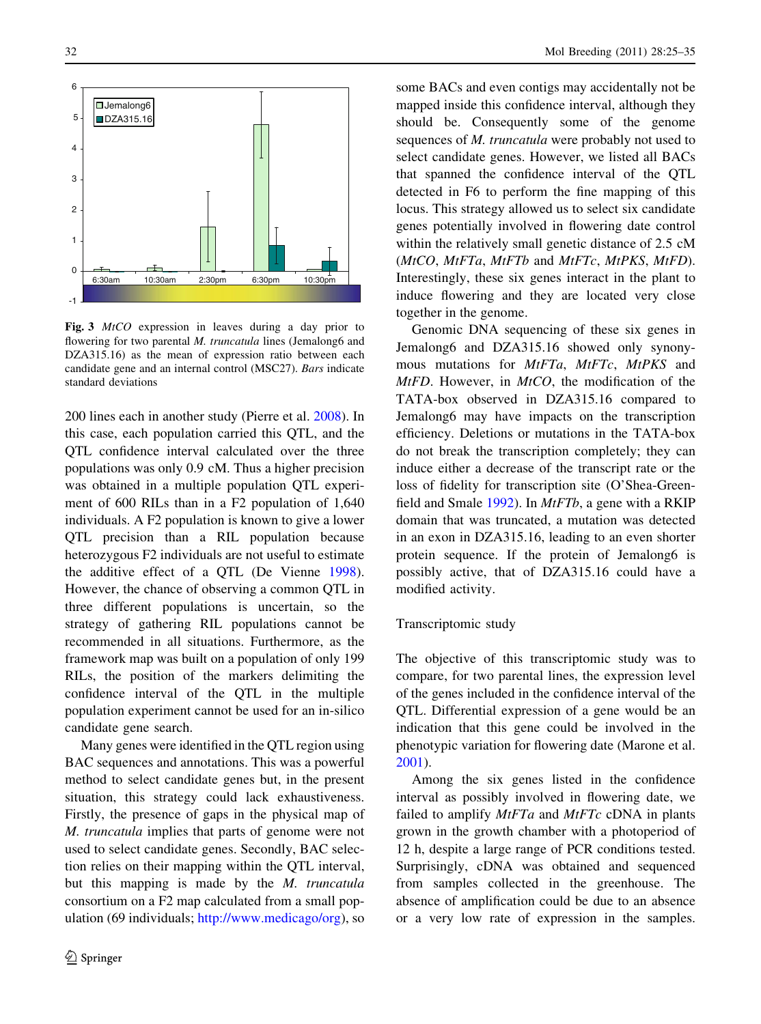

Fig. 3 MtCO expression in leaves during a day prior to flowering for two parental M. truncatula lines (Jemalong6 and DZA315.16) as the mean of expression ratio between each candidate gene and an internal control (MSC27). Bars indicate standard deviations

200 lines each in another study (Pierre et al. 2008). In this case, each population carried this QTL, and the QTL confidence interval calculated over the three populations was only 0.9 cM. Thus a higher precision was obtained in a multiple population QTL experiment of 600 RILs than in a F2 population of 1,640 individuals. A F2 population is known to give a lower QTL precision than a RIL population because heterozygous F2 individuals are not useful to estimate the additive effect of a QTL (De Vienne 1998). However, the chance of observing a common QTL in three different populations is uncertain, so the strategy of gathering RIL populations cannot be recommended in all situations. Furthermore, as the framework map was built on a population of only 199 RILs, the position of the markers delimiting the confidence interval of the QTL in the multiple population experiment cannot be used for an in-silico candidate gene search.

Many genes were identified in the QTL region using BAC sequences and annotations. This was a powerful method to select candidate genes but, in the present situation, this strategy could lack exhaustiveness. Firstly, the presence of gaps in the physical map of M. truncatula implies that parts of genome were not used to select candidate genes. Secondly, BAC selection relies on their mapping within the QTL interval, but this mapping is made by the M. truncatula consortium on a F2 map calculated from a small population (69 individuals; <http://www.medicago/org>), so

some BACs and even contigs may accidentally not be mapped inside this confidence interval, although they should be. Consequently some of the genome sequences of M. truncatula were probably not used to select candidate genes. However, we listed all BACs that spanned the confidence interval of the QTL detected in F6 to perform the fine mapping of this locus. This strategy allowed us to select six candidate genes potentially involved in flowering date control within the relatively small genetic distance of 2.5 cM (MtCO, MtFTa, MtFTb and MtFTc, MtPKS, MtFD). Interestingly, these six genes interact in the plant to induce flowering and they are located very close together in the genome.

Genomic DNA sequencing of these six genes in Jemalong6 and DZA315.16 showed only synonymous mutations for MtFTa, MtFTc, MtPKS and  $MtFD$ . However, in  $MtCO$ , the modification of the TATA-box observed in DZA315.16 compared to Jemalong6 may have impacts on the transcription efficiency. Deletions or mutations in the TATA-box do not break the transcription completely; they can induce either a decrease of the transcript rate or the loss of fidelity for transcription site (O'Shea-Greenfield and Smale  $1992$ ). In *MtFTb*, a gene with a RKIP domain that was truncated, a mutation was detected in an exon in DZA315.16, leading to an even shorter protein sequence. If the protein of Jemalong6 is possibly active, that of DZA315.16 could have a modified activity.

#### Transcriptomic study

The objective of this transcriptomic study was to compare, for two parental lines, the expression level of the genes included in the confidence interval of the QTL. Differential expression of a gene would be an indication that this gene could be involved in the phenotypic variation for flowering date (Marone et al. 2001).

Among the six genes listed in the confidence interval as possibly involved in flowering date, we failed to amplify  $MtFTa$  and  $MtFTc$  cDNA in plants grown in the growth chamber with a photoperiod of 12 h, despite a large range of PCR conditions tested. Surprisingly, cDNA was obtained and sequenced from samples collected in the greenhouse. The absence of amplification could be due to an absence or a very low rate of expression in the samples.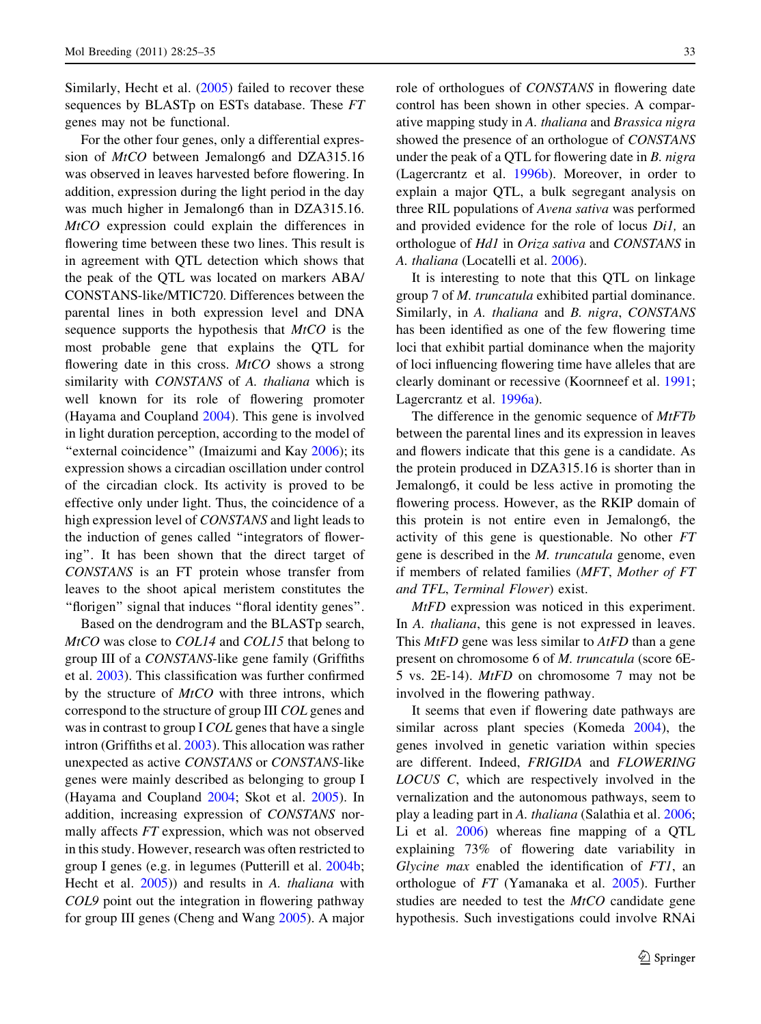Similarly, Hecht et al. (2005) failed to recover these sequences by BLASTp on ESTs database. These FT genes may not be functional.

For the other four genes, only a differential expression of MtCO between Jemalong6 and DZA315.16 was observed in leaves harvested before flowering. In addition, expression during the light period in the day was much higher in Jemalong6 than in DZA315.16. MtCO expression could explain the differences in flowering time between these two lines. This result is in agreement with QTL detection which shows that the peak of the QTL was located on markers ABA/ CONSTANS-like/MTIC720. Differences between the parental lines in both expression level and DNA sequence supports the hypothesis that MtCO is the most probable gene that explains the QTL for flowering date in this cross.  $MtCO$  shows a strong similarity with *CONSTANS* of A. *thaliana* which is well known for its role of flowering promoter (Hayama and Coupland 2004). This gene is involved in light duration perception, according to the model of "external coincidence" (Imaizumi and Kay 2006); its expression shows a circadian oscillation under control of the circadian clock. Its activity is proved to be effective only under light. Thus, the coincidence of a high expression level of CONSTANS and light leads to the induction of genes called ''integrators of flowering''. It has been shown that the direct target of CONSTANS is an FT protein whose transfer from leaves to the shoot apical meristem constitutes the ''florigen'' signal that induces ''floral identity genes''.

Based on the dendrogram and the BLASTp search, MtCO was close to COL14 and COL15 that belong to group III of a CONSTANS-like gene family (Griffiths et al. 2003). This classification was further confirmed by the structure of *MtCO* with three introns, which correspond to the structure of group III COL genes and was in contrast to group I COL genes that have a single intron (Griffiths et al. 2003). This allocation was rather unexpected as active CONSTANS or CONSTANS-like genes were mainly described as belonging to group I (Hayama and Coupland 2004; Skot et al. 2005). In addition, increasing expression of CONSTANS normally affects FT expression, which was not observed in this study. However, research was often restricted to group I genes (e.g. in legumes (Putterill et al. 2004b; Hecht et al.  $2005$ ) and results in A. *thaliana* with COL9 point out the integration in flowering pathway for group III genes (Cheng and Wang 2005). A major role of orthologues of CONSTANS in flowering date control has been shown in other species. A comparative mapping study in A. thaliana and Brassica nigra showed the presence of an orthologue of CONSTANS under the peak of a QTL for flowering date in B. nigra (Lagercrantz et al. 1996b). Moreover, in order to explain a major QTL, a bulk segregant analysis on three RIL populations of Avena sativa was performed and provided evidence for the role of locus Di1, an orthologue of Hd1 in Oriza sativa and CONSTANS in A. thaliana (Locatelli et al. 2006).

It is interesting to note that this QTL on linkage group 7 of M. truncatula exhibited partial dominance. Similarly, in A. thaliana and B. nigra, CONSTANS has been identified as one of the few flowering time loci that exhibit partial dominance when the majority of loci influencing flowering time have alleles that are clearly dominant or recessive (Koornneef et al. 1991; Lagercrantz et al. 1996a).

The difference in the genomic sequence of  $MtFD$ between the parental lines and its expression in leaves and flowers indicate that this gene is a candidate. As the protein produced in DZA315.16 is shorter than in Jemalong6, it could be less active in promoting the flowering process. However, as the RKIP domain of this protein is not entire even in Jemalong6, the activity of this gene is questionable. No other FT gene is described in the M. truncatula genome, even if members of related families (MFT, Mother of FT and TFL, Terminal Flower) exist.

MtFD expression was noticed in this experiment. In A. *thaliana*, this gene is not expressed in leaves. This *MtFD* gene was less similar to *AtFD* than a gene present on chromosome 6 of M. truncatula (score 6E-5 vs. 2E-14). MtFD on chromosome 7 may not be involved in the flowering pathway.

It seems that even if flowering date pathways are similar across plant species (Komeda 2004), the genes involved in genetic variation within species are different. Indeed, FRIGIDA and FLOWERING LOCUS C, which are respectively involved in the vernalization and the autonomous pathways, seem to play a leading part in A. thaliana (Salathia et al. 2006; Li et al. 2006) whereas fine mapping of a QTL explaining 73% of flowering date variability in Glycine max enabled the identification of FT1, an orthologue of FT (Yamanaka et al. 2005). Further studies are needed to test the MtCO candidate gene hypothesis. Such investigations could involve RNAi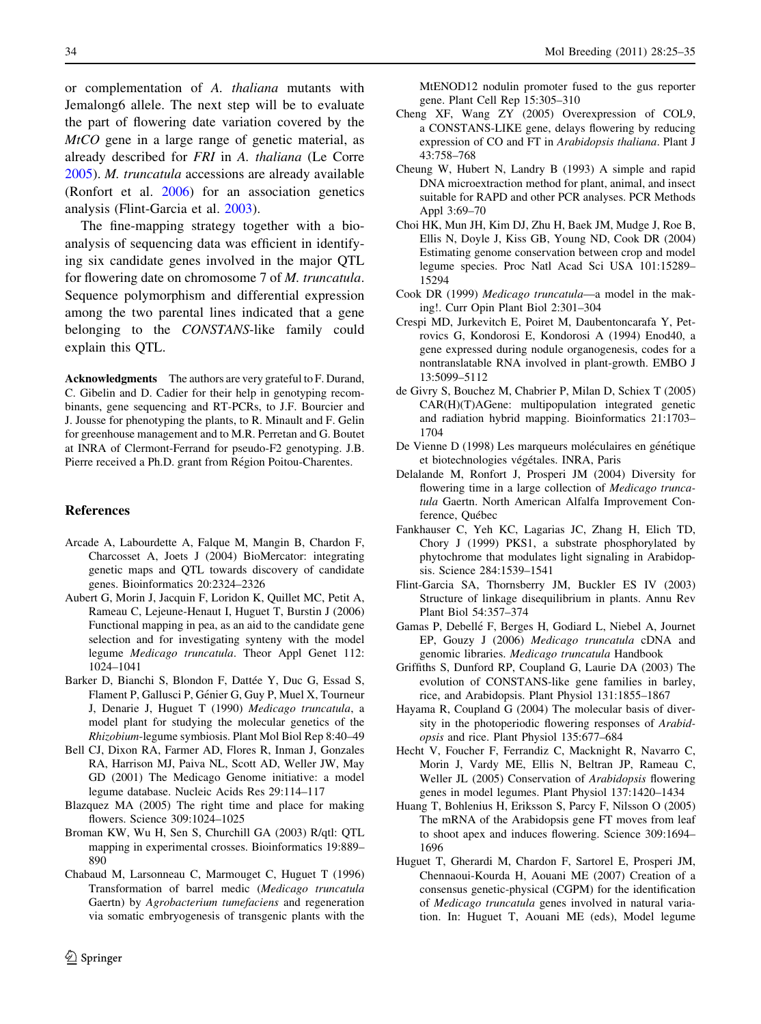or complementation of A. thaliana mutants with Jemalong6 allele. The next step will be to evaluate the part of flowering date variation covered by the MtCO gene in a large range of genetic material, as already described for FRI in A. thaliana (Le Corre 2005). M. truncatula accessions are already available (Ronfort et al. 2006) for an association genetics analysis (Flint-Garcia et al. 2003).

The fine-mapping strategy together with a bioanalysis of sequencing data was efficient in identifying six candidate genes involved in the major QTL for flowering date on chromosome 7 of M. truncatula. Sequence polymorphism and differential expression among the two parental lines indicated that a gene belonging to the *CONSTANS*-like family could explain this QTL.

Acknowledgments The authors are very grateful to F. Durand, C. Gibelin and D. Cadier for their help in genotyping recombinants, gene sequencing and RT-PCRs, to J.F. Bourcier and J. Jousse for phenotyping the plants, to R. Minault and F. Gelin for greenhouse management and to M.R. Perretan and G. Boutet at INRA of Clermont-Ferrand for pseudo-F2 genotyping. J.B. Pierre received a Ph.D. grant from Région Poitou-Charentes.

#### References

- Arcade A, Labourdette A, Falque M, Mangin B, Chardon F, Charcosset A, Joets J (2004) BioMercator: integrating genetic maps and QTL towards discovery of candidate genes. Bioinformatics 20:2324–2326
- Aubert G, Morin J, Jacquin F, Loridon K, Quillet MC, Petit A, Rameau C, Lejeune-Henaut I, Huguet T, Burstin J (2006) Functional mapping in pea, as an aid to the candidate gene selection and for investigating synteny with the model legume Medicago truncatula. Theor Appl Genet 112: 1024–1041
- Barker D, Bianchi S, Blondon F, Dattée Y, Duc G, Essad S, Flament P, Gallusci P, Génier G, Guy P, Muel X, Tourneur J, Denarie J, Huguet T (1990) Medicago truncatula, a model plant for studying the molecular genetics of the Rhizobium-legume symbiosis. Plant Mol Biol Rep 8:40–49
- Bell CJ, Dixon RA, Farmer AD, Flores R, Inman J, Gonzales RA, Harrison MJ, Paiva NL, Scott AD, Weller JW, May GD (2001) The Medicago Genome initiative: a model legume database. Nucleic Acids Res 29:114–117
- Blazquez MA (2005) The right time and place for making flowers. Science 309:1024–1025
- Broman KW, Wu H, Sen S, Churchill GA (2003) R/qtl: QTL mapping in experimental crosses. Bioinformatics 19:889– 890
- Chabaud M, Larsonneau C, Marmouget C, Huguet T (1996) Transformation of barrel medic (Medicago truncatula Gaertn) by Agrobacterium tumefaciens and regeneration via somatic embryogenesis of transgenic plants with the

MtENOD12 nodulin promoter fused to the gus reporter gene. Plant Cell Rep 15:305–310

- Cheng XF, Wang ZY (2005) Overexpression of COL9, a CONSTANS-LIKE gene, delays flowering by reducing expression of CO and FT in Arabidopsis thaliana. Plant J 43:758–768
- Cheung W, Hubert N, Landry B (1993) A simple and rapid DNA microextraction method for plant, animal, and insect suitable for RAPD and other PCR analyses. PCR Methods Appl 3:69–70
- Choi HK, Mun JH, Kim DJ, Zhu H, Baek JM, Mudge J, Roe B, Ellis N, Doyle J, Kiss GB, Young ND, Cook DR (2004) Estimating genome conservation between crop and model legume species. Proc Natl Acad Sci USA 101:15289– 15294
- Cook DR (1999) Medicago truncatula—a model in the making!. Curr Opin Plant Biol 2:301–304
- Crespi MD, Jurkevitch E, Poiret M, Daubentoncarafa Y, Petrovics G, Kondorosi E, Kondorosi A (1994) Enod40, a gene expressed during nodule organogenesis, codes for a nontranslatable RNA involved in plant-growth. EMBO J 13:5099–5112
- de Givry S, Bouchez M, Chabrier P, Milan D, Schiex T (2005) CAR(H)(T)AGene: multipopulation integrated genetic and radiation hybrid mapping. Bioinformatics 21:1703– 1704
- De Vienne D (1998) Les marqueurs moléculaires en génétique et biotechnologies végétales. INRA, Paris
- Delalande M, Ronfort J, Prosperi JM (2004) Diversity for flowering time in a large collection of *Medicago trunca*tula Gaertn. North American Alfalfa Improvement Conference, Québec
- Fankhauser C, Yeh KC, Lagarias JC, Zhang H, Elich TD, Chory J (1999) PKS1, a substrate phosphorylated by phytochrome that modulates light signaling in Arabidopsis. Science 284:1539–1541
- Flint-Garcia SA, Thornsberry JM, Buckler ES IV (2003) Structure of linkage disequilibrium in plants. Annu Rev Plant Biol 54:357–374
- Gamas P, Debellé F, Berges H, Godiard L, Niebel A, Journet EP, Gouzy J (2006) Medicago truncatula cDNA and genomic libraries. Medicago truncatula Handbook
- Griffiths S, Dunford RP, Coupland G, Laurie DA (2003) The evolution of CONSTANS-like gene families in barley, rice, and Arabidopsis. Plant Physiol 131:1855–1867
- Hayama R, Coupland G (2004) The molecular basis of diversity in the photoperiodic flowering responses of Arabidopsis and rice. Plant Physiol 135:677–684
- Hecht V, Foucher F, Ferrandiz C, Macknight R, Navarro C, Morin J, Vardy ME, Ellis N, Beltran JP, Rameau C, Weller JL (2005) Conservation of Arabidopsis flowering genes in model legumes. Plant Physiol 137:1420–1434
- Huang T, Bohlenius H, Eriksson S, Parcy F, Nilsson O (2005) The mRNA of the Arabidopsis gene FT moves from leaf to shoot apex and induces flowering. Science 309:1694– 1696
- Huguet T, Gherardi M, Chardon F, Sartorel E, Prosperi JM, Chennaoui-Kourda H, Aouani ME (2007) Creation of a consensus genetic-physical (CGPM) for the identification of Medicago truncatula genes involved in natural variation. In: Huguet T, Aouani ME (eds), Model legume